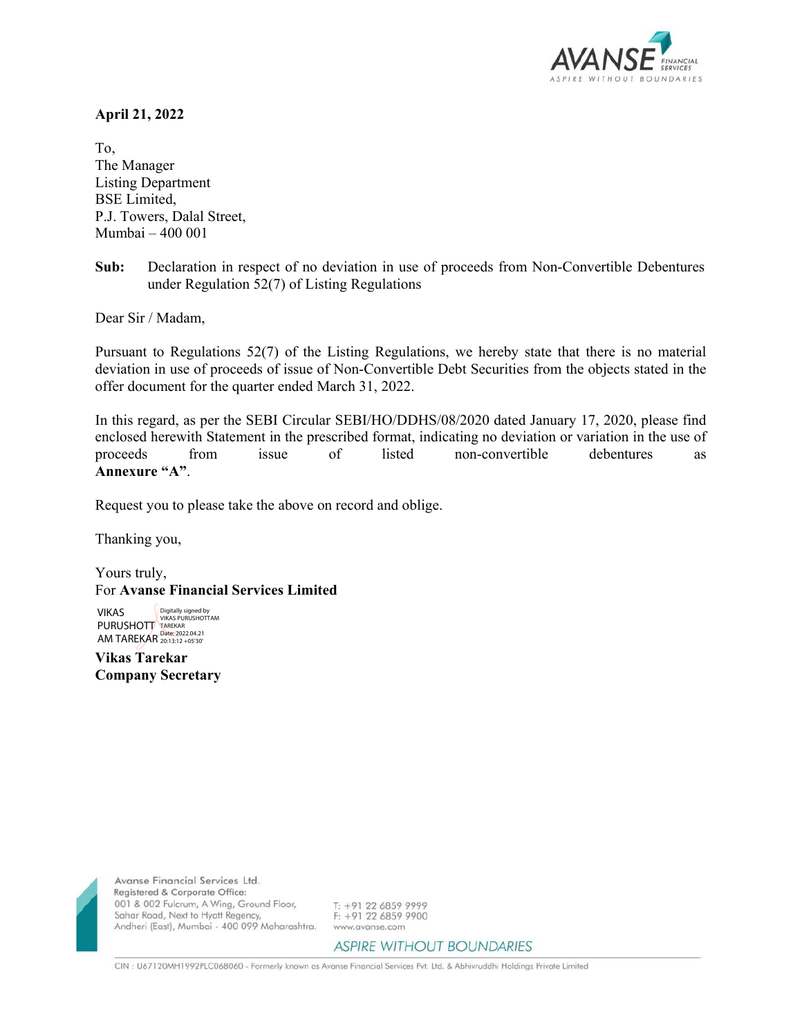

## **April 21, 2022**

To, The Manager Listing Department BSE Limited, P.J. Towers, Dalal Street, Mumbai – 400 001

**Sub:** Declaration in respect of no deviation in use of proceeds from Non-Convertible Debentures under Regulation 52(7) of Listing Regulations

Dear Sir / Madam,

Pursuant to Regulations 52(7) of the Listing Regulations, we hereby state that there is no material deviation in use of proceeds of issue of Non-Convertible Debt Securities from the objects stated in the offer document for the quarter ended March 31, 2022.

In this regard, as per the SEBI Circular SEBI/HO/DDHS/08/2020 dated January 17, 2020, please find enclosed herewith Statement in the prescribed format, indicating no deviation or variation in the use of proceeds from issue of listed non-convertible debentures as **Annexure "A"**.

Request you to please take the above on record and oblige.

Thanking you,

Yours truly, For **Avanse Financial Services Limited** 

VIKAS PURUSHOTT AM TAREKAR Digitally signed by VIKAS PURUSHOTTAM TAREKAR Date: 2022.04.21 20:13:12 +05'30'

**Vikas Tarekar Company Secretary** 



Avanse Financial Services Ltd. Registered & Corporate Office: 001 & 002 Fulcrum, A Wing, Ground Floor, Sahar Road, Next to Hyatt Regency, Andheri (East), Mumbai - 400 099 Maharashtra.

T: +91 22 6859 9999 F: +91 22 6859 9900 www.avanse.com

**ASPIRE WITHOUT BOUNDARIES** 

CIN : U67120MH1992PLC068060 - Formerly known as Avanse Financial Services Pvt. Ltd. & Abhivruddhi Holdings Private Limited